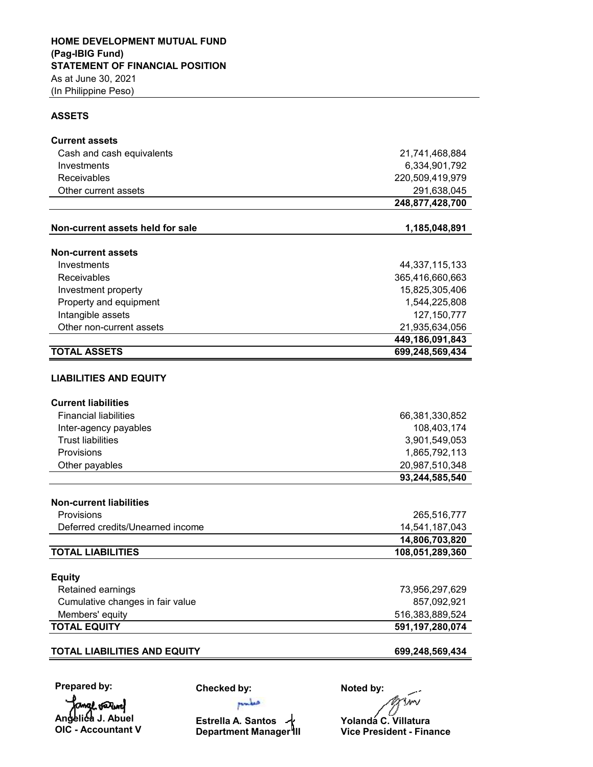## **ASSETS**

| <b>Current assets</b>               |                   |  |  |
|-------------------------------------|-------------------|--|--|
| Cash and cash equivalents           | 21,741,468,884    |  |  |
| Investments                         | 6,334,901,792     |  |  |
| Receivables                         | 220,509,419,979   |  |  |
| Other current assets                | 291,638,045       |  |  |
|                                     | 248,877,428,700   |  |  |
|                                     |                   |  |  |
| Non-current assets held for sale    | 1,185,048,891     |  |  |
| <b>Non-current assets</b>           |                   |  |  |
| Investments                         | 44, 337, 115, 133 |  |  |
| Receivables                         | 365,416,660,663   |  |  |
| Investment property                 | 15,825,305,406    |  |  |
| Property and equipment              | 1,544,225,808     |  |  |
| Intangible assets                   | 127, 150, 777     |  |  |
| Other non-current assets            | 21,935,634,056    |  |  |
|                                     | 449,186,091,843   |  |  |
| <b>TOTAL ASSETS</b>                 | 699,248,569,434   |  |  |
|                                     |                   |  |  |
| <b>LIABILITIES AND EQUITY</b>       |                   |  |  |
| <b>Current liabilities</b>          |                   |  |  |
| <b>Financial liabilities</b>        | 66,381,330,852    |  |  |
| Inter-agency payables               | 108,403,174       |  |  |
| <b>Trust liabilities</b>            | 3,901,549,053     |  |  |
| Provisions                          | 1,865,792,113     |  |  |
| Other payables                      | 20,987,510,348    |  |  |
|                                     | 93,244,585,540    |  |  |
|                                     |                   |  |  |
| <b>Non-current liabilities</b>      |                   |  |  |
| Provisions                          | 265,516,777       |  |  |
| Deferred credits/Unearned income    | 14,541,187,043    |  |  |
|                                     | 14,806,703,820    |  |  |
| <b>TOTAL LIABILITIES</b>            | 108,051,289,360   |  |  |
|                                     |                   |  |  |
| <b>Equity</b>                       |                   |  |  |
| Retained earnings                   | 73,956,297,629    |  |  |
| Cumulative changes in fair value    | 857,092,921       |  |  |
| Members' equity                     | 516,383,889,524   |  |  |
| <b>TOTAL EQUITY</b>                 | 591,197,280,074   |  |  |
| <b>TOTAL LIABILITIES AND EQUITY</b> | 699,248,569,434   |  |  |
|                                     |                   |  |  |

**Prepared by:**

mal varm **Angelica J. Abuel OIC - Accountant V** **Checked by:**

**Estrella A. Santos Department Manager III**

pulse

**Noted by: OMM** 

**Yolanda C. Villatura Vice President - Finance**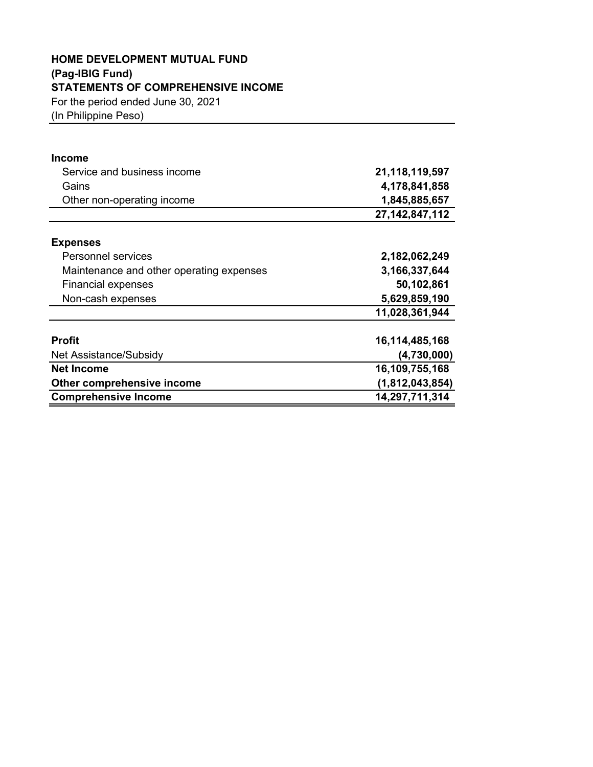## **HOME DEVELOPMENT MUTUAL FUND (Pag-IBIG Fund) STATEMENTS OF COMPREHENSIVE INCOME**

For the period ended June 30, 2021

(In Philippine Peso)

| <b>Income</b>                            |                   |
|------------------------------------------|-------------------|
| Service and business income              | 21,118,119,597    |
| Gains                                    | 4,178,841,858     |
| Other non-operating income               | 1,845,885,657     |
|                                          | 27, 142, 847, 112 |
| <b>Expenses</b>                          |                   |
| <b>Personnel services</b>                | 2,182,062,249     |
| Maintenance and other operating expenses | 3,166,337,644     |
| <b>Financial expenses</b>                | 50,102,861        |
| Non-cash expenses                        | 5,629,859,190     |
|                                          | 11,028,361,944    |
| <b>Profit</b>                            | 16,114,485,168    |
| Net Assistance/Subsidy                   | (4,730,000)       |
| <b>Net Income</b>                        | 16,109,755,168    |
| Other comprehensive income               | (1,812,043,854)   |
| <b>Comprehensive Income</b>              | 14,297,711,314    |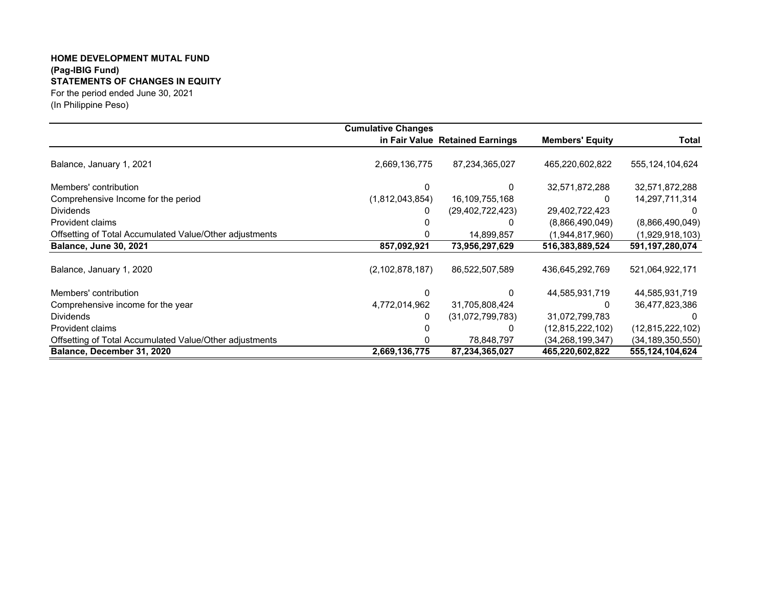## **HOME DEVELOPMENT MUTAL FUND (Pag-IBIG Fund) STATEMENTS OF CHANGES IN EQUITY** For the period ended June 30, 2021

(In Philippine Peso)

|                                                         | <b>Cumulative Changes</b> |                                 |                        |                     |
|---------------------------------------------------------|---------------------------|---------------------------------|------------------------|---------------------|
|                                                         |                           | in Fair Value Retained Earnings | <b>Members' Equity</b> | <b>Total</b>        |
| Balance, January 1, 2021                                | 2,669,136,775             | 87,234,365,027                  | 465,220,602,822        | 555, 124, 104, 624  |
| Members' contribution                                   |                           | 0                               | 32,571,872,288         | 32,571,872,288      |
| Comprehensive Income for the period                     | (1,812,043,854)           | 16,109,755,168                  |                        | 14,297,711,314      |
| <b>Dividends</b>                                        | 0                         | (29, 402, 722, 423)             | 29,402,722,423         |                     |
| Provident claims                                        |                           |                                 | (8,866,490,049)        | (8,866,490,049)     |
| Offsetting of Total Accumulated Value/Other adjustments |                           | 14,899,857                      | (1,944,817,960)        | (1,929,918,103)     |
| <b>Balance, June 30, 2021</b>                           | 857,092,921               | 73,956,297,629                  | 516,383,889,524        | 591,197,280,074     |
| Balance, January 1, 2020                                | (2, 102, 878, 187)        | 86,522,507,589                  | 436,645,292,769        | 521,064,922,171     |
| Members' contribution                                   |                           |                                 | 44,585,931,719         | 44,585,931,719      |
| Comprehensive income for the year                       | 4,772,014,962             | 31,705,808,424                  |                        | 36,477,823,386      |
| <b>Dividends</b>                                        | 0                         | (31,072,799,783)                | 31,072,799,783         |                     |
| Provident claims                                        |                           |                                 | (12,815,222,102)       | (12, 815, 222, 102) |
| Offsetting of Total Accumulated Value/Other adjustments |                           | 78,848,797                      | (34.268.199.347)       | (34, 189, 350, 550) |
| Balance, December 31, 2020                              | 2,669,136,775             | 87,234,365,027                  | 465,220,602,822        | 555,124,104,624     |